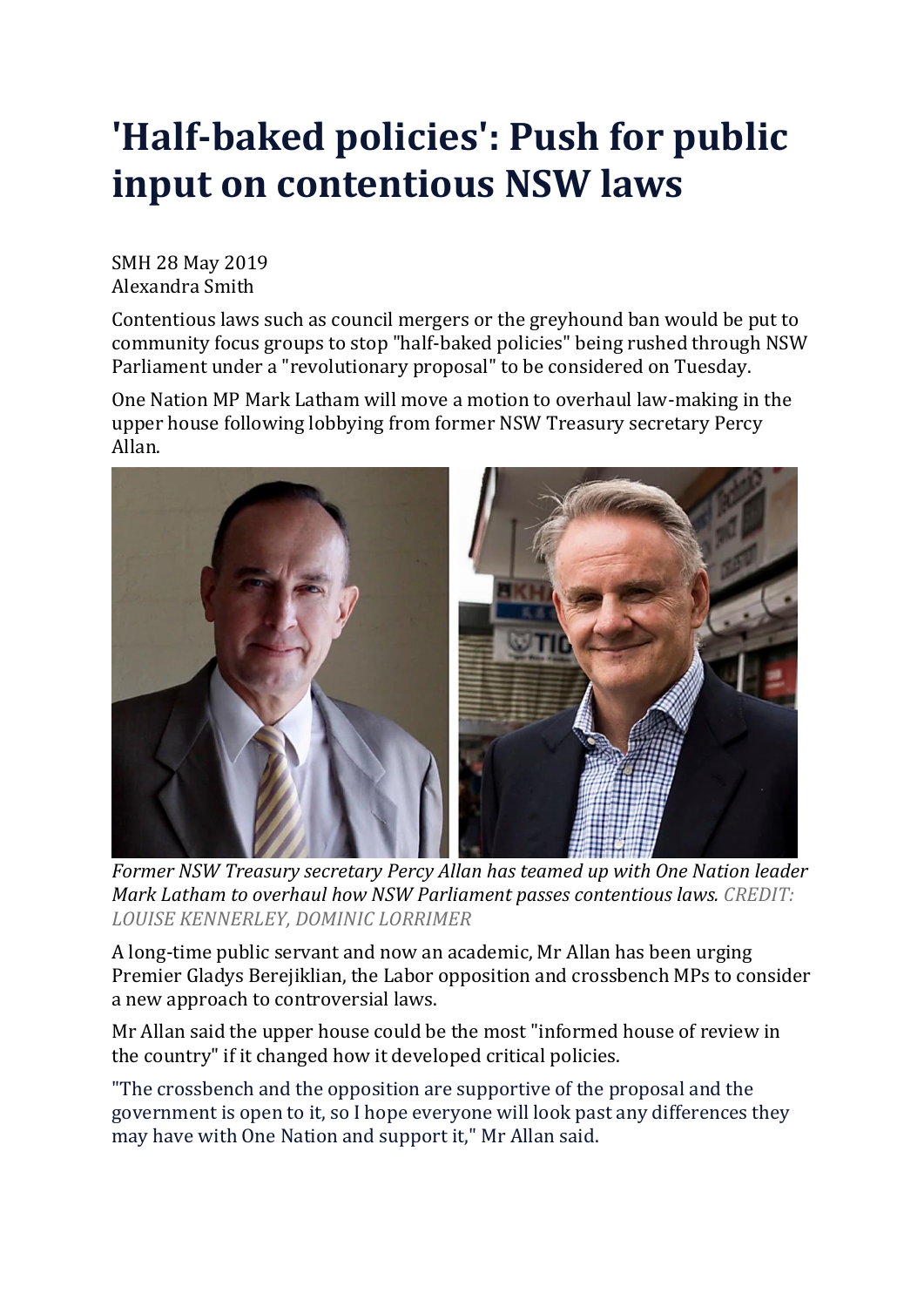## **'Half-baked policies': Push for public input on contentious NSW laws**

SMH 28 May 2019 Alexandra Smith

Contentious laws such as council mergers or the greyhound ban would be put to community focus groups to stop "half-baked policies" being rushed through NSW Parliament under a "revolutionary proposal" to be considered on Tuesday.

One Nation MP Mark Latham will move a motion to overhaul law-making in the upper house following lobbying from former NSW Treasury secretary Percy Allan.



*Former NSW Treasury secretary Percy Allan has teamed up with One Nation leader Mark Latham to overhaul how NSW Parliament passes contentious laws. CREDIT: LOUISE KENNERLEY, DOMINIC LORRIMER*

A long-time public servant and now an academic, Mr Allan has been urging Premier Gladys Berejiklian, the Labor opposition and crossbench MPs to consider a new approach to controversial laws.

Mr Allan said the upper house could be the most "informed house of review in the country" if it changed how it developed critical policies.

"The crossbench and the opposition are supportive of the proposal and the government is open to it, so I hope everyone will look past any differences they may have with One Nation and support it," Mr Allan said.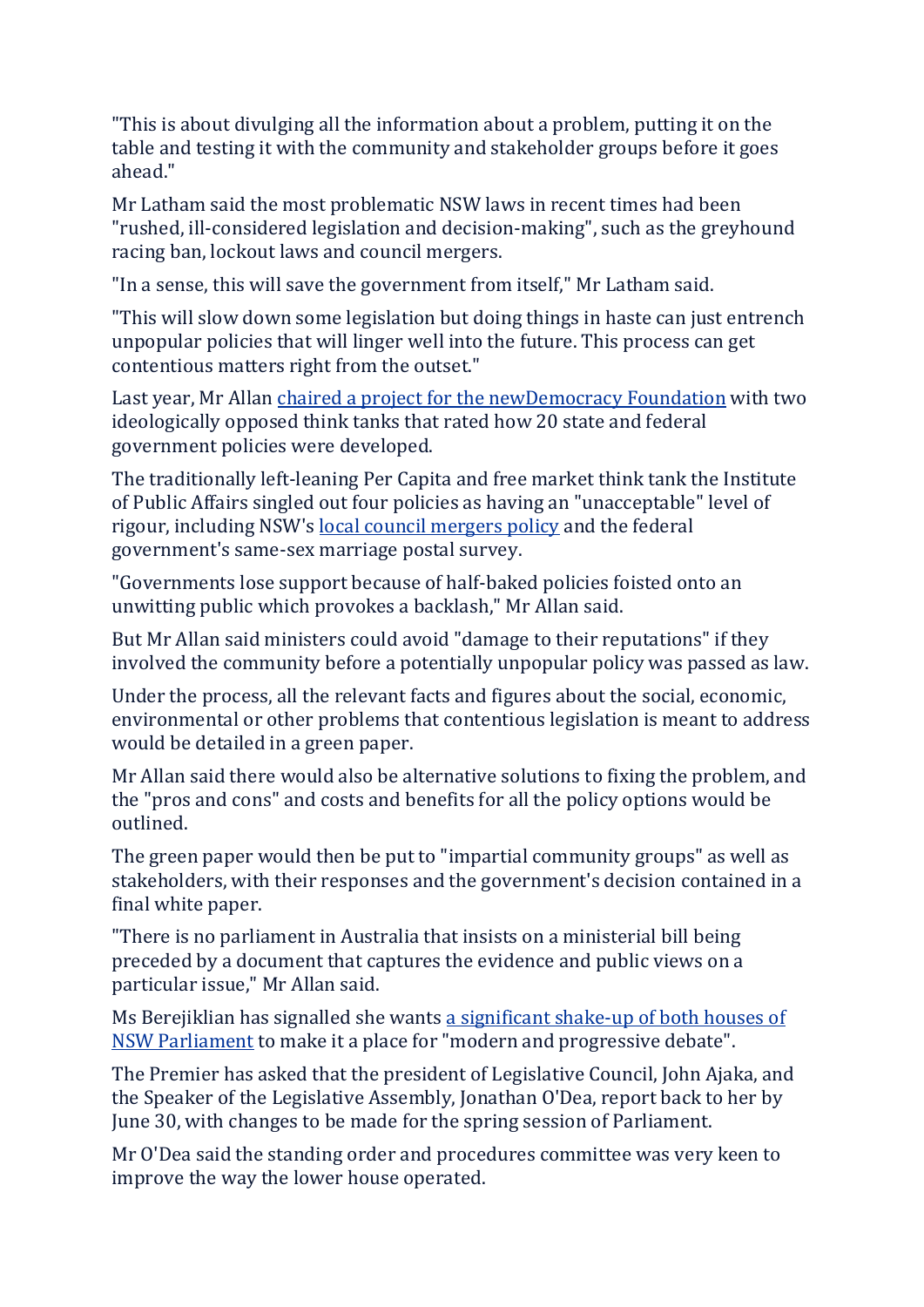"This is about divulging all the information about a problem, putting it on the table and testing it with the community and stakeholder groups before it goes ahead."

Mr Latham said the most problematic NSW laws in recent times had been "rushed, ill-considered legislation and decision-making", such as the greyhound racing ban, lockout laws and council mergers.

"In a sense, this will save the government from itself," Mr Latham said.

"This will slow down some legislation but doing things in haste can just entrench unpopular policies that will linger well into the future. This process can get contentious matters right from the outset."

Last year, Mr Allan chaired a project for the [newDemocracy](https://www.smh.com.au/link/follow-20170101-p507y9) Foundation with two ideologically opposed think tanks that rated how 20 state and federal government policies were developed.

The traditionally left-leaning Per Capita and free market think tank the Institute of Public Affairs singled out four policies as having an "unacceptable" level of rigour, including NSW's local council [mergers](https://www.smh.com.au/link/follow-20170101-gwiywr) policy and the federal government's same-sex marriage postal survey.

"Governments lose support because of half-baked policies foisted onto an unwitting public which provokes a backlash," Mr Allan said.

But Mr Allan said ministers could avoid "damage to their reputations" if they involved the community before a potentially unpopular policy was passed as law.

Under the process, all the relevant facts and figures about the social, economic, environmental or other problems that contentious legislation is meant to address would be detailed in a green paper.

Mr Allan said there would also be alternative solutions to fixing the problem, and the "pros and cons" and costs and benefits for all the policy options would be outlined.

The green paper would then be put to "impartial community groups" as well as stakeholders, with their responses and the government's decision contained in a final white paper.

"There is no parliament in Australia that insists on a ministerial bill being preceded by a document that captures the evidence and public views on a particular issue," Mr Allan said.

Ms Berejiklian has signalled she wants a [significant](https://www.smh.com.au/politics/nsw/premier-berejiklian-wants-a-modern-progressive-bear-pit-20190506-p51klz.html) shake-up of both houses of NSW [Parliament](https://www.smh.com.au/politics/nsw/premier-berejiklian-wants-a-modern-progressive-bear-pit-20190506-p51klz.html) to make it a place for "modern and progressive debate".

The Premier has asked that the president of Legislative Council, John Ajaka, and the Speaker of the Legislative Assembly, Jonathan O'Dea, report back to her by June 30, with changes to be made for the spring session of Parliament.

Mr O'Dea said the standing order and procedures committee was very keen to improve the way the lower house operated.